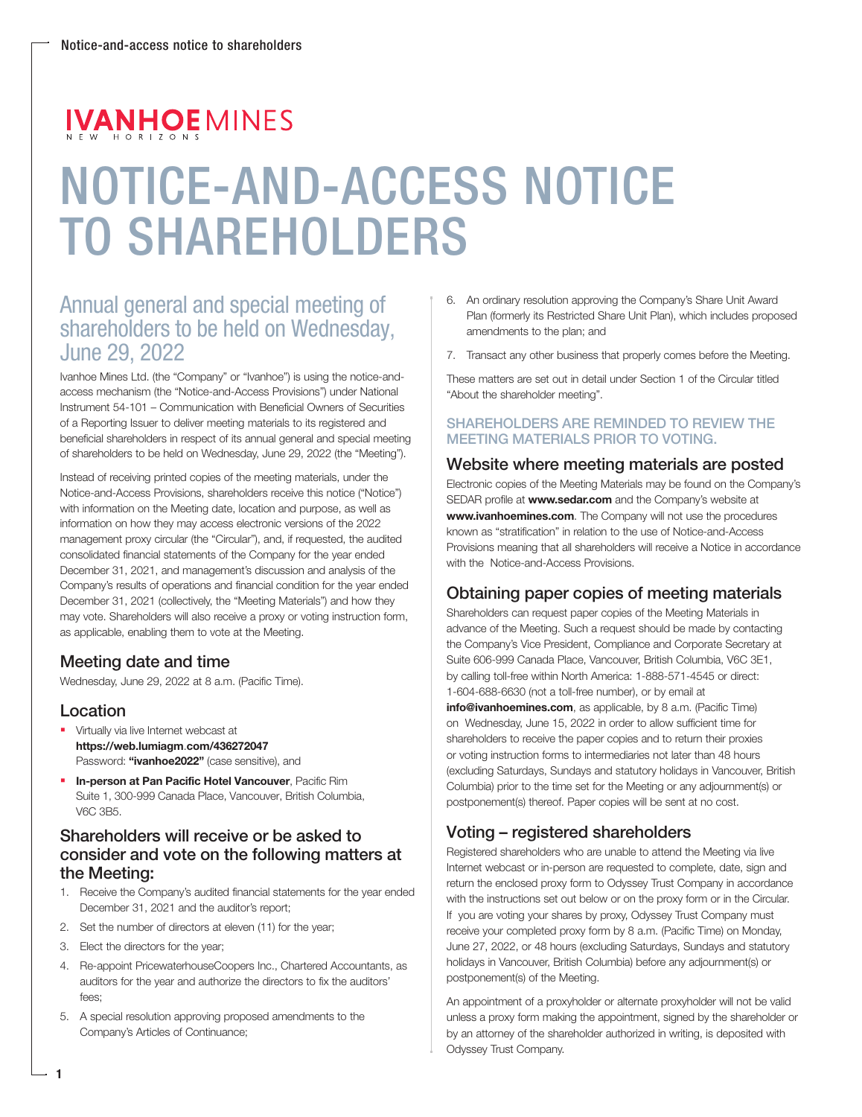# **IVANHOEMINES**

# NOTICE-AND-ACCESS NOTICE TO SHAREHOLDERS

# Annual general and special meeting of shareholders to be held on Wednesday, June 29, 2022

Ivanhoe Mines Ltd. (the "Company" or "Ivanhoe") is using the notice-andaccess mechanism (the "Notice-and-Access Provisions") under National Instrument 54-101 – Communication with Beneficial Owners of Securities of a Reporting Issuer to deliver meeting materials to its registered and beneficial shareholders in respect of its annual general and special meeting of shareholders to be held on Wednesday, June 29, 2022 (the "Meeting").

Instead of receiving printed copies of the meeting materials, under the Notice-and-Access Provisions, shareholders receive this notice ("Notice") with information on the Meeting date, location and purpose, as well as information on how they may access electronic versions of the 2022 management proxy circular (the "Circular"), and, if requested, the audited consolidated financial statements of the Company for the year ended December 31, 2021, and management's discussion and analysis of the Company's results of operations and financial condition for the year ended December 31, 2021 (collectively, the "Meeting Materials") and how they may vote. Shareholders will also receive a proxy or voting instruction form, as applicable, enabling them to vote at the Meeting.

# Meeting date and time

Wednesday, June 29, 2022 at 8 a.m. (Pacific Time).

## Location

1

- **Virtually via live Internet webcast at Virtually via live Internet webcast at** https://web.lumiagm.com/436272047 Password: "ivanhoe2022" (case sensitive), and
- **In-person at Pan Pacific Hotel Vancouver**, Pacific Rim Suite 1, 300-999 Canada Place, Vancouver, British Columbia, V6C 3B5.

## Shareholders will receive or be asked to consider and vote on the following matters at the Meeting:

- 1. Receive the Company's audited financial statements for the year ended December 31, 2021 and the auditor's report;
- 2. Set the number of directors at eleven (11) for the year;
- 3. Elect the directors for the year;
- 4. Re-appoint PricewaterhouseCoopers Inc., Chartered Accountants, as auditors for the year and authorize the directors to fix the auditors' fees;
- 5. A special resolution approving proposed amendments to the Company's Articles of Continuance;
- 6. An ordinary resolution approving the Company's Share Unit Award Plan (formerly its Restricted Share Unit Plan), which includes proposed amendments to the plan; and
- 7. Transact any other business that properly comes before the Meeting.

These matters are set out in detail under Section 1 of the Circular titled "About the shareholder meeting".

#### SHAREHOLDERS ARE REMINDED TO REVIEW THE MEETING MATERIALS PRIOR TO VOTING.

#### Website where meeting materials are posted

Electronic copies of the Meeting Materials may be found on the Company's SEDAR profile at **www.sedar.com** and the Company's website at www.ivanhoemines.com. The Company will not use the procedures known as "stratification" in relation to the use of Notice-and-Access Provisions meaning that all shareholders will receive a Notice in accordance with the Notice-and-Access Provisions.

## Obtaining paper copies of meeting materials

Shareholders can request paper copies of the Meeting Materials in advance of the Meeting. Such a request should be made by contacting the Company's Vice President, Compliance and Corporate Secretary at Suite 606-999 Canada Place, Vancouver, British Columbia, V6C 3E1, by calling toll-free within North America: 1-888-571-4545 or direct: 1-604-688-6630 (not a toll-free number), or by email at

info@ivanhoemines.com, as applicable, by 8 a.m. (Pacific Time) on Wednesday, June 15, 2022 in order to allow sufficient time for shareholders to receive the paper copies and to return their proxies or voting instruction forms to intermediaries not later than 48 hours (excluding Saturdays, Sundays and statutory holidays in Vancouver, British Columbia) prior to the time set for the Meeting or any adjournment(s) or postponement(s) thereof. Paper copies will be sent at no cost.

# Voting – registered shareholders

Registered shareholders who are unable to attend the Meeting via live Internet webcast or in-person are requested to complete, date, sign and return the enclosed proxy form to Odyssey Trust Company in accordance with the instructions set out below or on the proxy form or in the Circular. If you are voting your shares by proxy, Odyssey Trust Company must receive your completed proxy form by 8 a.m. (Pacific Time) on Monday, June 27, 2022, or 48 hours (excluding Saturdays, Sundays and statutory holidays in Vancouver, British Columbia) before any adjournment(s) or postponement(s) of the Meeting.

An appointment of a proxyholder or alternate proxyholder will not be valid unless a proxy form making the appointment, signed by the shareholder or by an attorney of the shareholder authorized in writing, is deposited with Odyssey Trust Company.